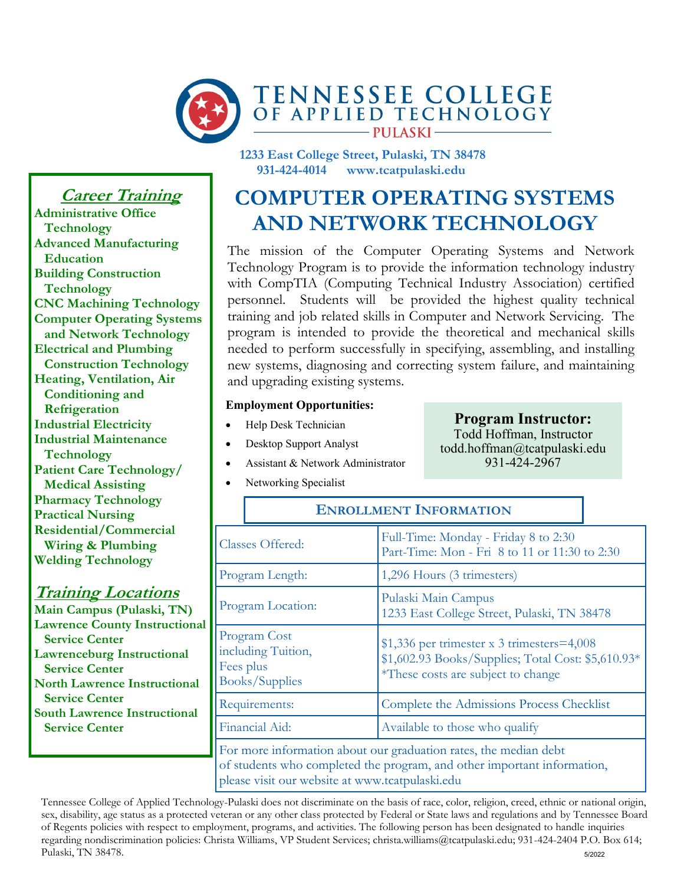

**1233 East College Street, Pulaski, TN 38478 931-424-4014 www.tcatpulaski.edu**

# **COMPUTER OPERATING SYSTEMS AND NETWORK TECHNOLOGY**

The mission of the Computer Operating Systems and Network Technology Program is to provide the information technology industry with CompTIA (Computing Technical Industry Association) certified personnel. Students will be provided the highest quality technical training and job related skills in Computer and Network Servicing. The program is intended to provide the theoretical and mechanical skills needed to perform successfully in specifying, assembling, and installing new systems, diagnosing and correcting system failure, and maintaining and upgrading existing systems.

#### **Employment Opportunities:**

- Help Desk Technician
- Desktop Support Analyst
- Assistant & Network Administrator
- Networking Specialist

| <b>Classes Offered:</b>                                                                                                                   | Full-Time: Monday - Friday 8 to 2:30<br>Part-Time: Mon - Fri 8 to 11 or 11:30 to 2:30                                                   |  |
|-------------------------------------------------------------------------------------------------------------------------------------------|-----------------------------------------------------------------------------------------------------------------------------------------|--|
| Program Length:                                                                                                                           | 1,296 Hours (3 trimesters)                                                                                                              |  |
| Program Location:                                                                                                                         | Pulaski Main Campus<br>1233 East College Street, Pulaski, TN 38478                                                                      |  |
| Program Cost<br>including Tuition,<br>Fees plus<br><b>Books/Supplies</b>                                                                  | $$1,336$ per trimester x 3 trimesters=4,008<br>\$1,602.93 Books/Supplies; Total Cost: \$5,610.93*<br>*These costs are subject to change |  |
| Requirements:                                                                                                                             | Complete the Admissions Process Checklist                                                                                               |  |
| Financial Aid:                                                                                                                            | Available to those who qualify                                                                                                          |  |
| For more information about our graduation rates, the median debt<br>of students who completed the program and other important information |                                                                                                                                         |  |

**ENROLLMENT INFORMATION**

of students who completed the program, and other important information, please visit our website at www.tcatpulaski.edu

Tennessee College of Applied Technology-Pulaski does not discriminate on the basis of race, color, religion, creed, ethnic or national origin, sex, disability, age status as a protected veteran or any other class protected by Federal or State laws and regulations and by Tennessee Board of Regents policies with respect to employment, programs, and activities. The following person has been designated to handle inquiries regarding nondiscrimination policies: Christa Williams, VP Student Services; christa.williams@tcatpulaski.edu; 931-424-2404 P.O. Box 614; Pulaski, TN 38478.

**Career Training**

**Administrative Office Technology Advanced Manufacturing Education Building Construction Technology CNC Machining Technology Computer Operating Systems and Network Technology Electrical and Plumbing Construction Technology Heating, Ventilation, Air Conditioning and Refrigeration Industrial Electricity Industrial Maintenance Technology Patient Care Technology/ Medical Assisting Pharmacy Technology Practical Nursing Residential/Commercial Wiring & Plumbing Welding Technology**

# **Training Locations**

**Main Campus (Pulaski, TN) Lawrence County Instructional Service Center Lawrenceburg Instructional Service Center North Lawrence Instructional Service Center South Lawrence Instructional Service Center**

## **Program Instructor:** Todd Hoffman, Instructor todd.hoffman@tcatpulaski.edu

931-424-2967